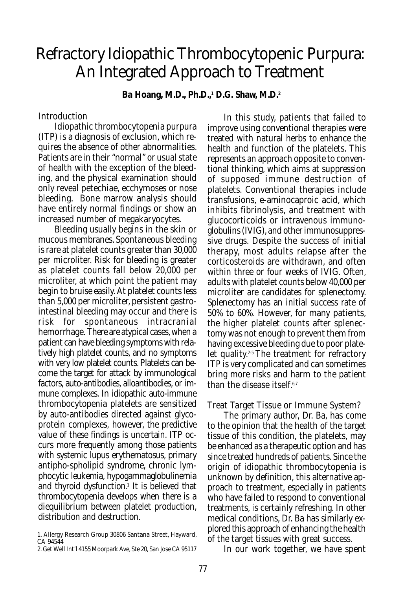# Refractory Idiopathic Thrombocytopenic Purpura: An Integrated Approach to Treatment

**Ba Hoang, M.D., Ph.D.,1 D.G. Shaw, M.D.2**

#### **Introduction**

Idiopathic thrombocytopenia purpura (ITP) is a diagnosis of exclusion, which requires the absence of other abnormalities. Patients are in their "normal" or usual state of health with the exception of the bleeding, and the physical examination should only reveal petechiae, ecchymoses or nose bleeding. Bone marrow analysis should have entirely normal findings or show an increased number of megakaryocytes.

Bleeding usually begins in the skin or mucous membranes. Spontaneous bleeding is rare at platelet counts greater than 30,000 per microliter. Risk for bleeding is greater as platelet counts fall below 20,000 per microliter, at which point the patient may begin to bruise easily. At platelet counts less than 5,000 per microliter, persistent gastrointestinal bleeding may occur and there is risk for spontaneous intracranial hemorrhage. There are atypical cases, when a patient can have bleeding symptoms with relatively high platelet counts, and no symptoms with very low platelet counts. Platelets can become the target for attack by immunological factors, auto-antibodies, alloantibodies, or immune complexes. In idiopathic auto-immune thrombocytopenia platelets are sensitized by auto-antibodies directed against glycoprotein complexes, however, the predictive value of these findings is uncertain. ITP occurs more frequently among those patients with systemic lupus erythematosus, primary antipho-spholipid syndrome, chronic lymphocytic leukemia, hypogammaglobulinemia and thyroid dysfunction.1 It is believed that thrombocytopenia develops when there is a diequilibrium between platelet production, distribution and destruction.

2. Get Well Int'l 4155 Moorpark Ave, Ste 20, San Jose CA 95117

In this study, patients that failed to improve using conventional therapies were treated with natural herbs to enhance the health and function of the platelets. This represents an approach opposite to conventional thinking, which aims at suppression of supposed immune destruction of platelets. Conventional therapies include transfusions, e-aminocaproic acid, which inhibits fibrinolysis, and treatment with glucocorticoids or intravenous immunoglobulins (IVIG), and other immunosuppressive drugs. Despite the success of initial therapy, most adults relapse after the corticosteroids are withdrawn, and often within three or four weeks of IVIG. Often, adults with platelet counts below 40,000 per microliter are candidates for splenectomy. Splenectomy has an initial success rate of 50% to 60%. However, for many patients, the higher platelet counts after splenectomy was not enough to prevent them from having excessive bleeding due to poor platelet quality.<sup>2-5</sup> The treatment for refractory ITP is very complicated and can sometimes bring more risks and harm to the patient than the disease itself.6,7

#### Treat Target Tissue or Immune System?

The primary author, Dr. Ba, has come to the opinion that the health of the target tissue of this condition, the platelets, may be enhanced as a therapeutic option and has since treated hundreds of patients. Since the origin of idiopathic thrombocytopenia is unknown by definition, this alternative approach to treatment, especially in patients who have failed to respond to conventional treatments, is certainly refreshing. In other medical conditions, Dr. Ba has similarly explored this approach of enhancing the health of the target tissues with great success.

In our work together, we have spent

<sup>1.</sup> Allergy Research Group 30806 Santana Street, Hayward, CA 94544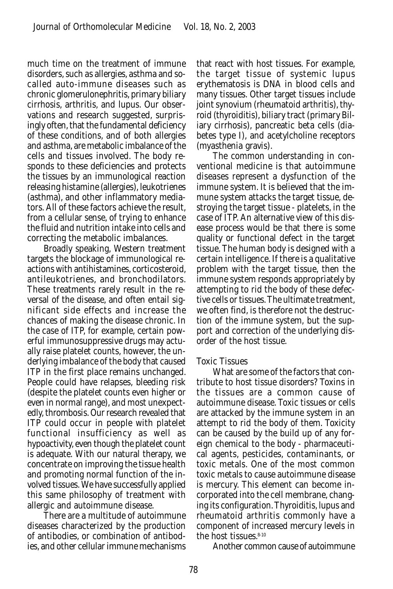much time on the treatment of immune disorders, such as allergies, asthma and socalled auto-immune diseases such as chronic glomerulonephritis, primary biliary cirrhosis, arthritis, and lupus. Our observations and research suggested, surprisingly often, that the fundamental deficiency of these conditions, and of both allergies and asthma, are metabolic imbalance of the cells and tissues involved. The body responds to these deficiencies and protects the tissues by an immunological reaction releasing histamine (allergies), leukotrienes (asthma), and other inflammatory mediators. All of these factors achieve the result, from a cellular sense, of trying to enhance the fluid and nutrition intake into cells and correcting the metabolic imbalances.

Broadly speaking, Western treatment targets the blockage of immunological reactions with antihistamines, corticosteroid, antileukotrienes, and bronchodilators. These treatments rarely result in the reversal of the disease, and often entail significant side effects and increase the chances of making the disease chronic. In the case of ITP, for example, certain powerful immunosuppressive drugs may actually raise platelet counts, however, the underlying imbalance of the body that caused ITP in the first place remains unchanged. People could have relapses, bleeding risk (despite the platelet counts even higher or even in normal range), and most unexpectedly, thrombosis. Our research revealed that ITP could occur in people with platelet functional insufficiency as well as hypoactivity, even though the platelet count is adequate. With our natural therapy, we concentrate on improving the tissue health and promoting normal function of the involved tissues. We have successfully applied this same philosophy of treatment with allergic and autoimmune disease.

There are a multitude of autoimmune diseases characterized by the production of antibodies, or combination of antibodies, and other cellular immune mechanisms that react with host tissues. For example, the target tissue of systemic lupus erythematosis is DNA in blood cells and many tissues. Other target tissues include joint synovium (rheumatoid arthritis), thyroid (thyroiditis), biliary tract (primary Biliary cirrhosis), pancreatic beta cells (diabetes type I), and acetylcholine receptors (myasthenia gravis).

The common understanding in conventional medicine is that autoimmune diseases represent a dysfunction of the immune system. It is believed that the immune system attacks the target tissue, destroying the target tissue - platelets, in the case of ITP. An alternative view of this disease process would be that there is some quality or functional defect in the target tissue. The human body is designed with a certain intelligence. If there is a qualitative problem with the target tissue, then the immune system responds appropriately by attempting to rid the body of these defective cells or tissues. The ultimate treatment, we often find, is therefore not the destruction of the immune system, but the support and correction of the underlying disorder of the host tissue.

#### Toxic Tissues

What are some of the factors that contribute to host tissue disorders? Toxins in the tissues are a common cause of autoimmune disease. Toxic tissues or cells are attacked by the immune system in an attempt to rid the body of them. Toxicity can be caused by the build up of any foreign chemical to the body - pharmaceutical agents, pesticides, contaminants, or toxic metals. One of the most common toxic metals to cause autoimmune disease is mercury. This element can become incorporated into the cell membrane, changing its configuration. Thyroiditis, lupus and rheumatoid arthritis commonly have a component of increased mercury levels in the host tissues.8-10

Another common cause of autoimmune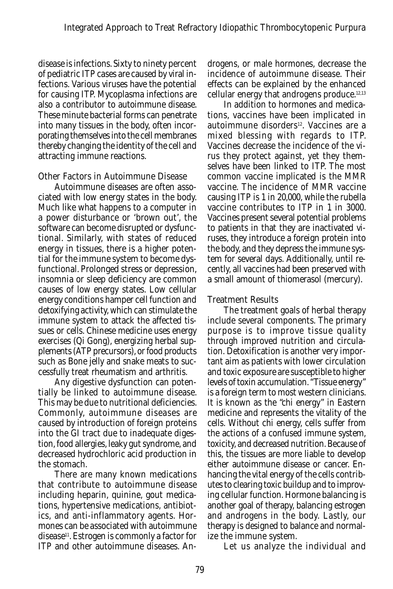disease is infections. Sixty to ninety percent of pediatric ITP cases are caused by viral infections. Various viruses have the potential for causing ITP. Mycoplasma infections are also a contributor to autoimmune disease. These minute bacterial forms can penetrate into many tissues in the body, often incorporating themselves into the cell membranes thereby changing the identity of the cell and attracting immune reactions.

### Other Factors in Autoimmune Disease

Autoimmune diseases are often associated with low energy states in the body. Much like what happens to a computer in a power disturbance or 'brown out', the software can become disrupted or dysfunctional. Similarly, with states of reduced energy in tissues, there is a higher potential for the immune system to become dysfunctional. Prolonged stress or depression, insomnia or sleep deficiency are common causes of low energy states. Low cellular energy conditions hamper cell function and detoxifying activity, which can stimulate the immune system to attack the affected tissues or cells. Chinese medicine uses energy exercises (Qi Gong), energizing herbal supplements (ATP precursors), or food products such as Bone jelly and snake meats to successfully treat rheumatism and arthritis.

Any digestive dysfunction can potentially be linked to autoimmune disease. This may be due to nutritional deficiencies. Commonly, autoimmune diseases are caused by introduction of foreign proteins into the GI tract due to inadequate digestion, food allergies, leaky gut syndrome, and decreased hydrochloric acid production in the stomach.

There are many known medications that contribute to autoimmune disease including heparin, quinine, gout medications, hypertensive medications, antibiotics, and anti-inflammatory agents. Hormones can be associated with autoimmune disease11. Estrogen is commonly a factor for ITP and other autoimmune diseases. Androgens, or male hormones, decrease the incidence of autoimmune disease. Their effects can be explained by the enhanced cellular energy that androgens produce.12,13

In addition to hormones and medications, vaccines have been implicated in autoimmune disorders<sup>12</sup>. Vaccines are a mixed blessing with regards to ITP. Vaccines decrease the incidence of the virus they protect against, yet they themselves have been linked to ITP. The most common vaccine implicated is the MMR vaccine. The incidence of MMR vaccine causing ITP is 1 in 20,000, while the rubella vaccine contributes to ITP in 1 in 3000. Vaccines present several potential problems to patients in that they are inactivated viruses, they introduce a foreign protein into the body, and they depress the immune system for several days. Additionally, until recently, all vaccines had been preserved with a small amount of thiomerasol (mercury).

# Treatment Results

The treatment goals of herbal therapy include several components. The primary purpose is to improve tissue quality through improved nutrition and circulation. Detoxification is another very important aim as patients with lower circulation and toxic exposure are susceptible to higher levels of toxin accumulation. "Tissue energy" is a foreign term to most western clinicians. It is known as the "chi energy" in Eastern medicine and represents the vitality of the cells. Without chi energy, cells suffer from the actions of a confused immune system, toxicity, and decreased nutrition. Because of this, the tissues are more liable to develop either autoimmune disease or cancer. Enhancing the vital energy of the cells contributes to clearing toxic buildup and to improving cellular function. Hormone balancing is another goal of therapy, balancing estrogen and androgens in the body. Lastly, our therapy is designed to balance and normalize the immune system.

Let us analyze the individual and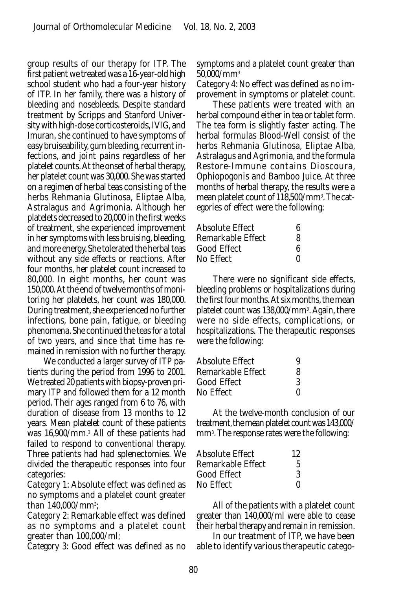group results of our therapy for ITP. The first patient we treated was a 16-year-old high school student who had a four-year history of ITP. In her family, there was a history of bleeding and nosebleeds. Despite standard treatment by Scripps and Stanford University with high-dose corticosteroids, IVIG, and Imuran, she continued to have symptoms of easy bruiseability, gum bleeding, recurrent infections, and joint pains regardless of her platelet counts. At the onset of herbal therapy, her platelet count was 30,000. She was started on a regimen of herbal teas consisting of the herbs Rehmania Glutinosa, Eliptae Alba, Astralagus and Agrimonia. Although her platelets decreased to 20,000 in the first weeks of treatment, she experienced improvement in her symptoms with less bruising, bleeding, and more energy. She tolerated the herbal teas without any side effects or reactions. After four months, her platelet count increased to 80,000. In eight months, her count was 150,000. At the end of twelve months of monitoring her platelets, her count was 180,000. During treatment, she experienced no further infections, bone pain, fatigue, or bleeding phenomena. She continued the teas for a total of two years, and since that time has remained in remission with no further therapy.

We conducted a larger survey of ITP patients during the period from 1996 to 2001. We treated 20 patients with biopsy-proven primary ITP and followed them for a 12 month period. Their ages ranged from 6 to 76, with duration of disease from 13 months to 12 years. Mean platelet count of these patients was 16,900/mm.3 All of these patients had failed to respond to conventional therapy. Three patients had had splenectomies. We divided the therapeutic responses into four categories:

*Category 1*: Absolute effect was defined as no symptoms and a platelet count greater than 140,000/mm3 ;

*Category 2*: Remarkable effect was defined as no symptoms and a platelet count greater than 100,000/ml;

*Category 3*: Good effect was defined as no

symptoms and a platelet count greater than 50,000/mm3

*Category 4:* No effect was defined as no improvement in symptoms or platelet count.

These patients were treated with an herbal compound either in tea or tablet form. The tea form is slightly faster acting. The herbal formulas Blood-Well consist of the herbs Rehmania Glutinosa, Eliptae Alba, Astralagus and Agrimonia, and the formula Restore-Immune contains Dioscoura, Ophiopogonis and Bamboo Juice. At three months of herbal therapy, the results were a mean platelet count of 118,500/mm3 . The categories of effect were the following:

| Absolute Effect   | ĸ            |
|-------------------|--------------|
| Remarkable Effect | 8            |
| Good Effect       | ĸ            |
| No Effect         | $\mathbf{0}$ |

There were no significant side effects, bleeding problems or hospitalizations during the first four months. At six months, the mean platelet count was 138,000/mm3 . Again, there were no side effects, complications, or hospitalizations. The therapeutic responses were the following:

| Absolute Effect   | 9            |
|-------------------|--------------|
| Remarkable Effect | 8            |
| Good Effect       | 3            |
| No Effect         | $\mathbf{0}$ |

At the twelve-month conclusion of our treatment, the mean platelet count was 143,000/ mm3 . The response rates were the following:

| Absolute Effect   | 12           |
|-------------------|--------------|
| Remarkable Effect | 5            |
| Good Effect       | 3            |
| No Effect         | $\mathbf{0}$ |

All of the patients with a platelet count greater than 140,000/ml were able to cease their herbal therapy and remain in remission.

In our treatment of ITP, we have been able to identify various therapeutic catego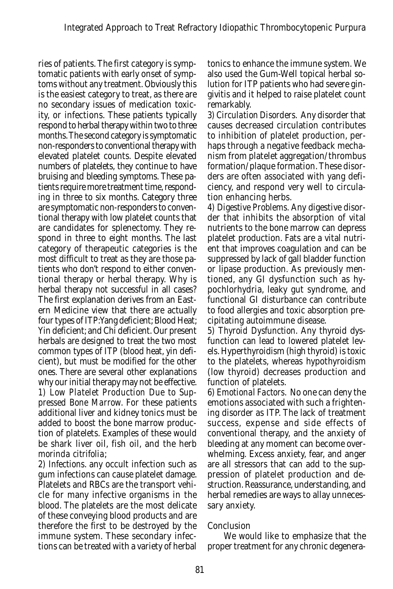ries of patients. The first category is symptomatic patients with early onset of symptoms without any treatment. Obviously this is the easiest category to treat, as there are no secondary issues of medication toxicity, or infections. These patients typically respond to herbal therapy within two to three months. The second category is symptomatic non-responders to conventional therapy with elevated platelet counts. Despite elevated numbers of platelets, they continue to have bruising and bleeding symptoms. These patients require more treatment time, responding in three to six months. Category three are symptomatic non-responders to conventional therapy with low platelet counts that are candidates for splenectomy. They respond in three to eight months. The last category of therapeutic categories is the most difficult to treat as they are those patients who don't respond to either conventional therapy or herbal therapy. Why is herbal therapy not successful in all cases? The first explanation derives from an Eastern Medicine view that there are actually four types of ITP:Yang deficient; Blood Heat; Yin deficient; and Chi deficient. Our present herbals are designed to treat the two most common types of ITP (blood heat, yin deficient), but must be modified for the other ones. There are several other explanations why our initial therapy may not be effective. *1) Low Platelet Production Due to Suppressed Bone Marrow.* For these patients additional liver and kidney tonics must be added to boost the bone marrow production of platelets. Examples of these would be shark liver oil, fish oil, and the herb *morinda citrifolia*;

*2) Infections*. any occult infection such as gum infections can cause platelet damage. Platelets and RBCs are the transport vehicle for many infective organisms in the blood. The platelets are the most delicate of these conveying blood products and are therefore the first to be destroyed by the immune system. These secondary infections can be treated with a variety of herbal

tonics to enhance the immune system. We also used the Gum-Well topical herbal solution for ITP patients who had severe gingivitis and it helped to raise platelet count remarkably.

*3) Circulation Disorders.* Any disorder that causes decreased circulation contributes to inhibition of platelet production, perhaps through a negative feedback mechanism from platelet aggregation/thrombus formation/plaque formation. These disorders are often associated with yang deficiency, and respond very well to circulation enhancing herbs.

*4) Digestive Problems*. Any digestive disorder that inhibits the absorption of vital nutrients to the bone marrow can depress platelet production. Fats are a vital nutrient that improves coagulation and can be suppressed by lack of gall bladder function or lipase production. As previously mentioned, any GI dysfunction such as hypochlorhydria, leaky gut syndrome, and functional GI disturbance can contribute to food allergies and toxic absorption precipitating autoimmune disease.

*5) Thyroid Dysfunction*. Any thyroid dysfunction can lead to lowered platelet levels. Hyperthyroidism (high thyroid) is toxic to the platelets, whereas hypothyroidism (low thyroid) decreases production and function of platelets.

*6) Emotional Factors.* No one can deny the emotions associated with such a frightening disorder as ITP. The lack of treatment success, expense and side effects of conventional therapy, and the anxiety of bleeding at any moment can become overwhelming. Excess anxiety, fear, and anger are all stressors that can add to the suppression of platelet production and destruction. Reassurance, understanding, and herbal remedies are ways to allay unnecessary anxiety.

# Conclusion

We would like to emphasize that the proper treatment for any chronic degenera